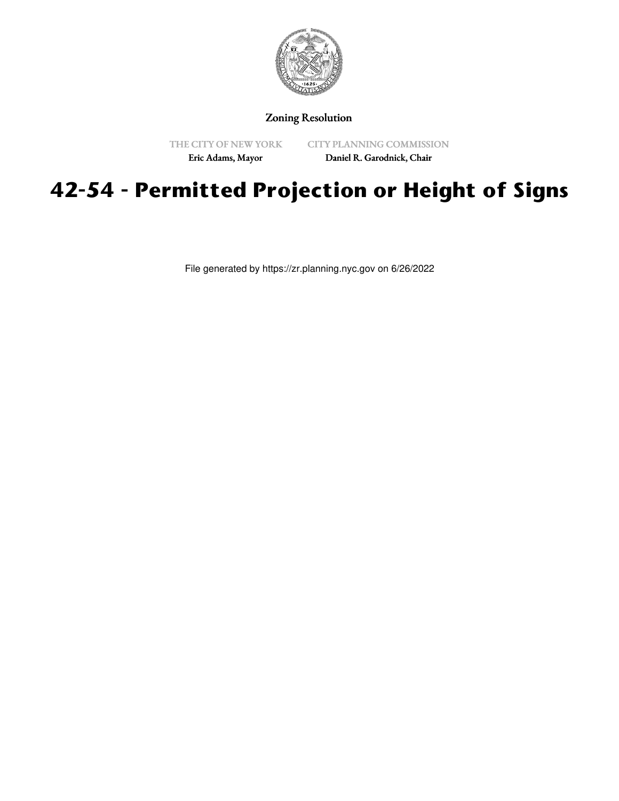

## Zoning Resolution

THE CITY OF NEW YORK

CITY PLANNING COMMISSION

Eric Adams, Mayor

Daniel R. Garodnick, Chair

# **42-54 - Permitted Projection or Height of Signs**

File generated by https://zr.planning.nyc.gov on 6/26/2022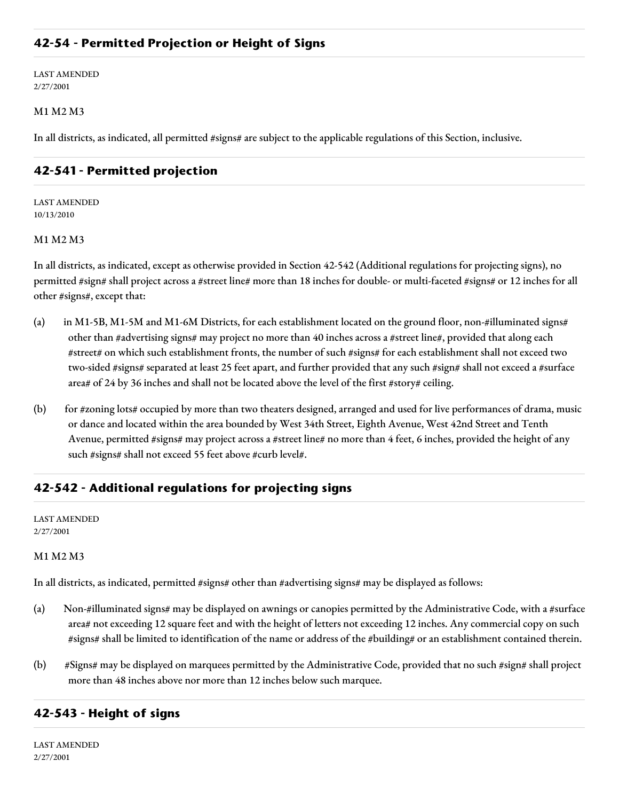## **42-54 - Permitted Projection or Height of Signs**

LAST AMENDED 2/27/2001

#### M1 M2 M3

In all districts, as indicated, all permitted #signs# are subject to the applicable regulations of this Section, inclusive.

## **42-541 - Permitted projection**

LAST AMENDED 10/13/2010

#### M1 M2 M3

In all districts, as indicated, except as otherwise provided in Section 42-542 (Additional regulations for projecting signs), no permitted #sign# shall project across a #street line# more than 18 inches for double- or multi-faceted #signs# or 12 inches for all other #signs#, except that:

- (a) in M1-5B, M1-5M and M1-6M Districts, for each establishment located on the ground floor, non-#illuminated signs# other than #advertising signs# may project no more than 40 inches across a #street line#, provided that along each #street# on which such establishment fronts, the number of such #signs# for each establishment shall not exceed two two-sided #signs# separated at least 25 feet apart, and further provided that any such #sign# shall not exceed a #surface area# of 24 by 36 inches and shall not be located above the level of the first #story# ceiling.
- (b) for #zoning lots# occupied by more than two theaters designed, arranged and used for live performances of drama, music or dance and located within the area bounded by West 34th Street, Eighth Avenue, West 42nd Street and Tenth Avenue, permitted #signs# may project across a #street line# no more than 4 feet, 6 inches, provided the height of any such #signs# shall not exceed 55 feet above #curb level#.

## **42-542 - Additional regulations for projecting signs**

LAST AMENDED 2/27/2001

#### M1 M2 M3

In all districts, as indicated, permitted #signs# other than #advertising signs# may be displayed as follows:

- (a) Non-#illuminated signs# may be displayed on awnings or canopies permitted by the Administrative Code, with a #surface area# not exceeding 12 square feet and with the height of letters not exceeding 12 inches. Any commercial copy on such #signs# shall be limited to identification of the name or address of the #building# or an establishment contained therein.
- (b) #Signs# may be displayed on marquees permitted by the Administrative Code, provided that no such #sign# shall project more than 48 inches above nor more than 12 inches below such marquee.

### **42-543 - Height of signs**